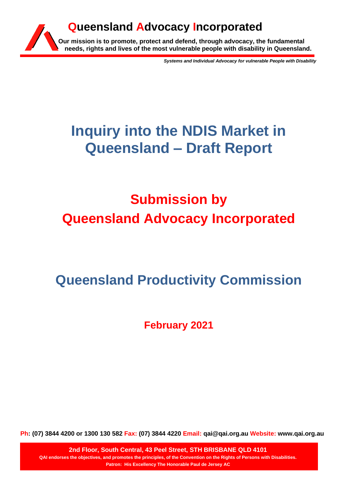

*Systems and Individual Advocacy for vulnerable People with Disability*

# **Inquiry into the NDIS Market in Queensland – Draft Report**

# **Submission by Queensland Advocacy Incorporated**

## **Queensland Productivity Commission**

**February 2021**

**Ph: (07) 3844 4200 or 1300 130 582 Fax: (07) 3844 4220 Email: qai@qai.org.au Website: www.qai.org.au**

**2nd Floor, South Central, 43 Peel Street, STH BRISBANE QLD 4101 QAI endorses the objectives, and promotes the principles, of the Convention on the Rights of Persons with Disabilities. Patron: His Excellency The Honorable Paul de Jersey AC**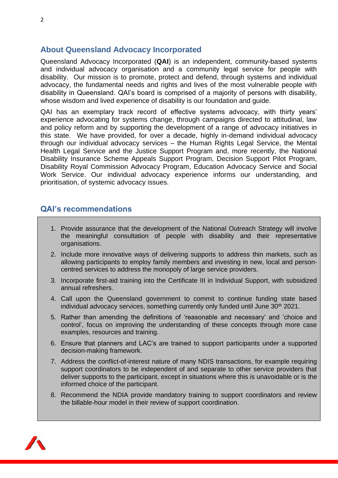## **About Queensland Advocacy Incorporated**

Queensland Advocacy Incorporated (**QAI**) is an independent, community-based systems and individual advocacy organisation and a community legal service for people with disability. Our mission is to promote, protect and defend, through systems and individual advocacy, the fundamental needs and rights and lives of the most vulnerable people with disability in Queensland. QAI's board is comprised of a majority of persons with disability, whose wisdom and lived experience of disability is our foundation and guide.

QAI has an exemplary track record of effective systems advocacy, with thirty years' experience advocating for systems change, through campaigns directed to attitudinal, law and policy reform and by supporting the development of a range of advocacy initiatives in this state. We have provided, for over a decade, highly in-demand individual advocacy through our individual advocacy services – the Human Rights Legal Service, the Mental Health Legal Service and the Justice Support Program and, more recently, the National Disability Insurance Scheme Appeals Support Program, Decision Support Pilot Program, Disability Royal Commission Advocacy Program, Education Advocacy Service and Social Work Service. Our individual advocacy experience informs our understanding, and prioritisation, of systemic advocacy issues.

## **QAI's recommendations**

- 1. Provide assurance that the development of the National Outreach Strategy will involve the meaningful consultation of people with disability and their representative organisations.
- 2. Include more innovative ways of delivering supports to address thin markets, such as allowing participants to employ family members and investing in new, local and personcentred services to address the monopoly of large service providers.
- 3. Incorporate first-aid training into the Certificate III in Individual Support, with subsidized annual refreshers.
- 4. Call upon the Queensland government to commit to continue funding state based individual advocacy services, something currently only funded until June 30<sup>th</sup> 2021.
- 5. Rather than amending the definitions of 'reasonable and necessary' and 'choice and control', focus on improving the understanding of these concepts through more case examples, resources and training.
- 6. Ensure that planners and LAC's are trained to support participants under a supported decision-making framework.
- 7. Address the conflict-of-interest nature of many NDIS transactions, for example requiring support coordinators to be independent of and separate to other service providers that deliver supports to the participant, except in situations where this is unavoidable or is the informed choice of the participant.
- 8. Recommend the NDIA provide mandatory training to support coordinators and review the billable-hour model in their review of support coordination.

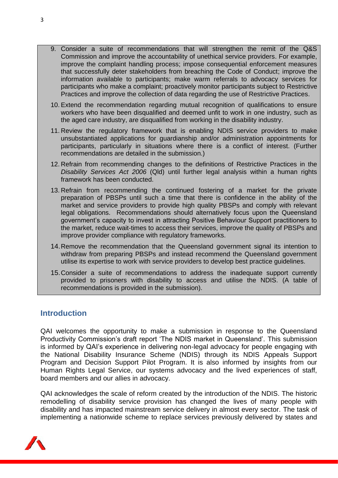- 9. Consider a suite of recommendations that will strengthen the remit of the Q&S Commission and improve the accountability of unethical service providers. For example, improve the complaint handling process; impose consequential enforcement measures that successfully deter stakeholders from breaching the Code of Conduct; improve the information available to participants; make warm referrals to advocacy services for participants who make a complaint; proactively monitor participants subject to Restrictive Practices and improve the collection of data regarding the use of Restrictive Practices.
- 10. Extend the recommendation regarding mutual recognition of qualifications to ensure workers who have been disqualified and deemed unfit to work in one industry, such as the aged care industry, are disqualified from working in the disability industry.
- 11. Review the regulatory framework that is enabling NDIS service providers to make unsubstantiated applications for guardianship and/or administration appointments for participants, particularly in situations where there is a conflict of interest. (Further recommendations are detailed in the submission.)
- 12. Refrain from recommending changes to the definitions of Restrictive Practices in the *Disability Services Act 2006* (Qld) until further legal analysis within a human rights framework has been conducted.
- 13. Refrain from recommending the continued fostering of a market for the private preparation of PBSPs until such a time that there is confidence in the ability of the market and service providers to provide high quality PBSPs and comply with relevant legal obligations. Recommendations should alternatively focus upon the Queensland government's capacity to invest in attracting Positive Behaviour Support practitioners to the market, reduce wait-times to access their services, improve the quality of PBSPs and improve provider compliance with regulatory frameworks.
- 14.Remove the recommendation that the Queensland government signal its intention to withdraw from preparing PBSPs and instead recommend the Queensland government utilise its expertise to work with service providers to develop best practice guidelines.
- 15.Consider a suite of recommendations to address the inadequate support currently provided to prisoners with disability to access and utilise the NDIS. (A table of recommendations is provided in the submission).

## **Introduction**

QAI welcomes the opportunity to make a submission in response to the Queensland Productivity Commission's draft report 'The NDIS market in Queensland'. This submission is informed by QAI's experience in delivering non-legal advocacy for people engaging with the National Disability Insurance Scheme (NDIS) through its NDIS Appeals Support Program and Decision Support Pilot Program. It is also informed by insights from our Human Rights Legal Service, our systems advocacy and the lived experiences of staff, board members and our allies in advocacy.

QAI acknowledges the scale of reform created by the introduction of the NDIS. The historic remodelling of disability service provision has changed the lives of many people with disability and has impacted mainstream service delivery in almost every sector. The task of implementing a nationwide scheme to replace services previously delivered by states and

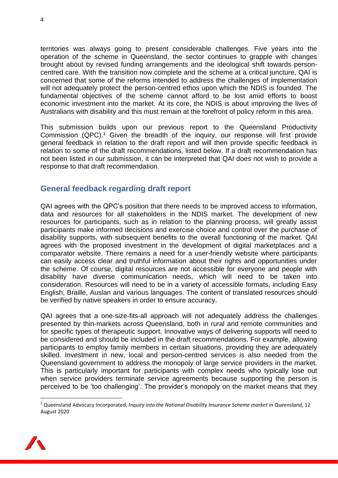territories was always going to present considerable challenges. Five years into the operation of the scheme in Queensland, the sector continues to grapple with changes brought about by revised funding arrangements and the ideological shift towards personcentred care. With the transition now complete and the scheme at a critical juncture, QAI is concerned that some of the reforms intended to address the challenges of implementation will not adequately protect the person-centred ethos upon which the NDIS is founded. The fundamental objectives of the scheme cannot afford to be lost amid efforts to boost economic investment into the market. At its core, the NDIS is about improving the lives of Australians with disability and this must remain at the forefront of policy reform in this area.

This submission builds upon our previous report to the Queensland Productivity Commission (QPC). <sup>1</sup> Given the breadth of the inquiry, our response will first provide general feedback in relation to the draft report and will then provide specific feedback in relation to some of the draft recommendations, listed below. If a draft recommendation has not been listed in our submission, it can be interpreted that QAI does not wish to provide a response to that draft recommendation.

## **General feedback regarding draft report**

QAI agrees with the QPC's position that there needs to be improved access to information, data and resources for all stakeholders in the NDIS market. The development of new resources for participants, such as in relation to the planning process, will greatly assist participants make informed decisions and exercise choice and control over the purchase of disability supports, with subsequent benefits to the overall functioning of the market. QAI agrees with the proposed investment in the development of digital marketplaces and a comparator website. There remains a need for a user-friendly website where participants can easily access clear and truthful information about their rights and opportunities under the scheme. Of course, digital resources are not accessible for everyone and people with disability have diverse communication needs, which will need to be taken into consideration. Resources will need to be in a variety of accessible formats, including Easy English, Braille, Auslan and various languages. The content of translated resources should be verified by native speakers in order to ensure accuracy.

QAI agrees that a one-size-fits-all approach will not adequately address the challenges presented by thin-markets across Queensland, both in rural and remote communities and for specific types of therapeutic support. Innovative ways of delivering supports will need to be considered and should be included in the draft recommendations. For example, allowing participants to employ family members in certain situations, providing they are adequately skilled. Investment in new, local and person-centred services is also needed from the Queensland government to address the monopoly of large service providers in the market. This is particularly important for participants with complex needs who typically lose out when service providers terminate service agreements because supporting the person is perceived to be 'too challenging'. The provider's monopoly on the market means that they

<sup>1</sup> Queensland Advocacy Incorporated, *Inquiry into the National Disability Insurance Scheme market in Queensland,* 12 August 2020

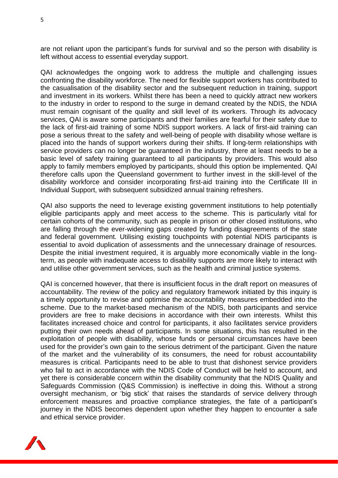are not reliant upon the participant's funds for survival and so the person with disability is left without access to essential everyday support.

QAI acknowledges the ongoing work to address the multiple and challenging issues confronting the disability workforce. The need for flexible support workers has contributed to the casualisation of the disability sector and the subsequent reduction in training, support and investment in its workers. Whilst there has been a need to quickly attract new workers to the industry in order to respond to the surge in demand created by the NDIS, the NDIA must remain cognisant of the quality and skill level of its workers. Through its advocacy services, QAI is aware some participants and their families are fearful for their safety due to the lack of first-aid training of some NDIS support workers. A lack of first-aid training can pose a serious threat to the safety and well-being of people with disability whose welfare is placed into the hands of support workers during their shifts. If long-term relationships with service providers can no longer be guaranteed in the industry, there at least needs to be a basic level of safety training guaranteed to all participants by providers. This would also apply to family members employed by participants, should this option be implemented. QAI therefore calls upon the Queensland government to further invest in the skill-level of the disability workforce and consider incorporating first-aid training into the Certificate III in Individual Support, with subsequent subsidized annual training refreshers.

QAI also supports the need to leverage existing government institutions to help potentially eligible participants apply and meet access to the scheme. This is particularly vital for certain cohorts of the community, such as people in prison or other closed institutions, who are falling through the ever-widening gaps created by funding disagreements of the state and federal government. Utilising existing touchpoints with potential NDIS participants is essential to avoid duplication of assessments and the unnecessary drainage of resources. Despite the initial investment required, it is arguably more economically viable in the longterm, as people with inadequate access to disability supports are more likely to interact with and utilise other government services, such as the health and criminal justice systems.

QAI is concerned however, that there is insufficient focus in the draft report on measures of accountability. The review of the policy and regulatory framework initiated by this inquiry is a timely opportunity to revise and optimise the accountability measures embedded into the scheme. Due to the market-based mechanism of the NDIS, both participants and service providers are free to make decisions in accordance with their own interests. Whilst this facilitates increased choice and control for participants, it also facilitates service providers putting their own needs ahead of participants. In some situations, this has resulted in the exploitation of people with disability, whose funds or personal circumstances have been used for the provider's own gain to the serious detriment of the participant. Given the nature of the market and the vulnerability of its consumers, the need for robust accountability measures is critical. Participants need to be able to trust that dishonest service providers who fail to act in accordance with the NDIS Code of Conduct will be held to account, and yet there is considerable concern within the disability community that the NDIS Quality and Safeguards Commission (Q&S Commission) is ineffective in doing this. Without a strong oversight mechanism, or 'big stick' that raises the standards of service delivery through enforcement measures and proactive compliance strategies, the fate of a participant's journey in the NDIS becomes dependent upon whether they happen to encounter a safe and ethical service provider.

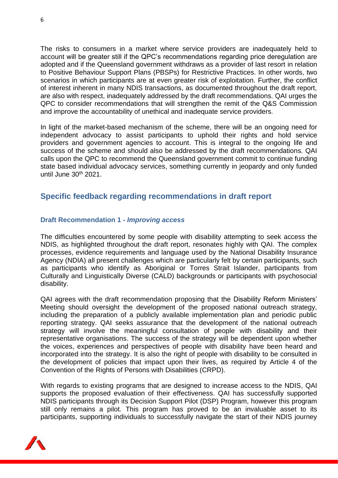The risks to consumers in a market where service providers are inadequately held to account will be greater still if the QPC's recommendations regarding price deregulation are adopted and if the Queensland government withdraws as a provider of last resort in relation to Positive Behaviour Support Plans (PBSPs) for Restrictive Practices. In other words, two scenarios in which participants are at even greater risk of exploitation. Further, the conflict of interest inherent in many NDIS transactions, as documented throughout the draft report, are also with respect, inadequately addressed by the draft recommendations. QAI urges the QPC to consider recommendations that will strengthen the remit of the Q&S Commission and improve the accountability of unethical and inadequate service providers.

In light of the market-based mechanism of the scheme, there will be an ongoing need for independent advocacy to assist participants to uphold their rights and hold service providers and government agencies to account. This is integral to the ongoing life and success of the scheme and should also be addressed by the draft recommendations. QAI calls upon the QPC to recommend the Queensland government commit to continue funding state based individual advocacy services, something currently in jeopardy and only funded until June 30<sup>th</sup> 2021.

## **Specific feedback regarding recommendations in draft report**

#### **Draft Recommendation 1 -** *Improving access*

The difficulties encountered by some people with disability attempting to seek access the NDIS, as highlighted throughout the draft report, resonates highly with QAI. The complex processes, evidence requirements and language used by the National Disability Insurance Agency (NDIA) all present challenges which are particularly felt by certain participants, such as participants who identify as Aboriginal or Torres Strait Islander, participants from Culturally and Linguistically Diverse (CALD) backgrounds or participants with psychosocial disability.

QAI agrees with the draft recommendation proposing that the Disability Reform Ministers' Meeting should oversight the development of the proposed national outreach strategy, including the preparation of a publicly available implementation plan and periodic public reporting strategy. QAI seeks assurance that the development of the national outreach strategy will involve the meaningful consultation of people with disability and their representative organisations. The success of the strategy will be dependent upon whether the voices, experiences and perspectives of people with disability have been heard and incorporated into the strategy. It is also the right of people with disability to be consulted in the development of policies that impact upon their lives, as required by Article 4 of the Convention of the Rights of Persons with Disabilities (CRPD).

With regards to existing programs that are designed to increase access to the NDIS, QAI supports the proposed evaluation of their effectiveness. QAI has successfully supported NDIS participants through its Decision Support Pilot (DSP) Program, however this program still only remains a pilot. This program has proved to be an invaluable asset to its participants, supporting individuals to successfully navigate the start of their NDIS journey

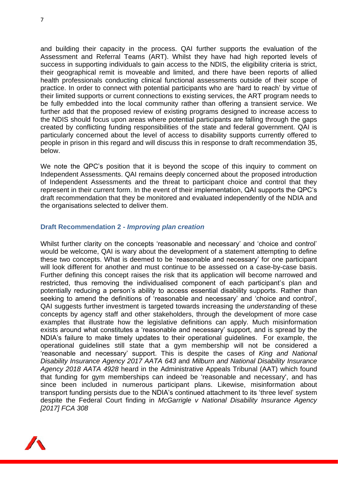and building their capacity in the process. QAI further supports the evaluation of the Assessment and Referral Teams (ART). Whilst they have had high reported levels of success in supporting individuals to gain access to the NDIS, the eligibility criteria is strict, their geographical remit is moveable and limited, and there have been reports of allied health professionals conducting clinical functional assessments outside of their scope of practice. In order to connect with potential participants who are 'hard to reach' by virtue of their limited supports or current connections to existing services, the ART program needs to be fully embedded into the local community rather than offering a transient service. We further add that the proposed review of existing programs designed to increase access to the NDIS should focus upon areas where potential participants are falling through the gaps created by conflicting funding responsibilities of the state and federal government. QAI is particularly concerned about the level of access to disability supports currently offered to people in prison in this regard and will discuss this in response to draft recommendation 35, below.

We note the QPC's position that it is beyond the scope of this inquiry to comment on Independent Assessments. QAI remains deeply concerned about the proposed introduction of Independent Assessments and the threat to participant choice and control that they represent in their current form. In the event of their implementation, QAI supports the QPC's draft recommendation that they be monitored and evaluated independently of the NDIA and the organisations selected to deliver them.

#### **Draft Recommendation 2 -** *Improving plan creation*

Whilst further clarity on the concepts 'reasonable and necessary' and 'choice and control' would be welcome, QAI is wary about the development of a statement attempting to define these two concepts. What is deemed to be 'reasonable and necessary' for one participant will look different for another and must continue to be assessed on a case-by-case basis. Further defining this concept raises the risk that its application will become narrowed and restricted, thus removing the individualised component of each participant's plan and potentially reducing a person's ability to access essential disability supports. Rather than seeking to amend the definitions of 'reasonable and necessary' and 'choice and control', QAI suggests further investment is targeted towards increasing the *understanding* of these concepts by agency staff and other stakeholders, through the development of more case examples that illustrate how the legislative definitions can apply. Much misinformation exists around what constitutes a 'reasonable and necessary' support, and is spread by the NDIA's failure to make timely updates to their operational guidelines. For example, the operational guidelines still state that a gym membership will not be considered a 'reasonable and necessary' support. This is despite the cases of *King and National Disability Insurance Agency 2017 AATA 643* and *Milburn and National Disability Insurance Agency 2018 AATA 4928* heard in the Administrative Appeals Tribunal (AAT) which found that funding for gym memberships can indeed be 'reasonable and necessary', and has since been included in numerous participant plans. Likewise, misinformation about transport funding persists due to the NDIA's continued attachment to its 'three level' system despite the Federal Court finding in *McGarrigle v National Disability Insurance Agency [2017] FCA 308*

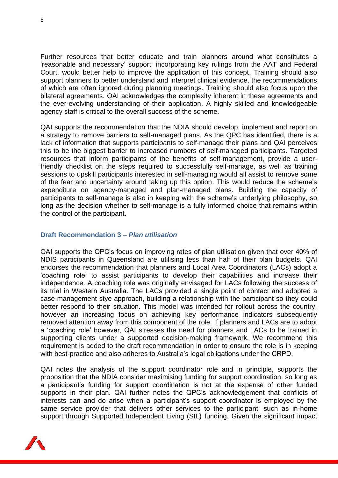Further resources that better educate and train planners around what constitutes a 'reasonable and necessary' support, incorporating key rulings from the AAT and Federal Court, would better help to improve the application of this concept. Training should also support planners to better understand and interpret clinical evidence, the recommendations of which are often ignored during planning meetings. Training should also focus upon the bilateral agreements. QAI acknowledges the complexity inherent in these agreements and the ever-evolving understanding of their application. A highly skilled and knowledgeable agency staff is critical to the overall success of the scheme.

QAI supports the recommendation that the NDIA should develop, implement and report on a strategy to remove barriers to self-managed plans. As the QPC has identified, there is a lack of information that supports participants to self-manage their plans and QAI perceives this to be the biggest barrier to increased numbers of self-managed participants. Targeted resources that inform participants of the benefits of self-management, provide a userfriendly checklist on the steps required to successfully self-manage, as well as training sessions to upskill participants interested in self-managing would all assist to remove some of the fear and uncertainty around taking up this option. This would reduce the scheme's expenditure on agency-managed and plan-managed plans. Building the capacity of participants to self-manage is also in keeping with the scheme's underlying philosophy, so long as the decision whether to self-manage is a fully informed choice that remains within the control of the participant.

#### **Draft Recommendation 3 –** *Plan utilisation*

QAI supports the QPC's focus on improving rates of plan utilisation given that over 40% of NDIS participants in Queensland are utilising less than half of their plan budgets. QAI endorses the recommendation that planners and Local Area Coordinators (LACs) adopt a 'coaching role' to assist participants to develop their capabilities and increase their independence. A coaching role was originally envisaged for LACs following the success of its trial in Western Australia. The LACs provided a single point of contact and adopted a case-management stye approach, building a relationship with the participant so they could better respond to their situation. This model was intended for rollout across the country, however an increasing focus on achieving key performance indicators subsequently removed attention away from this component of the role. If planners and LACs are to adopt a 'coaching role' however, QAI stresses the need for planners and LACs to be trained in supporting clients under a supported decision-making framework. We recommend this requirement is added to the draft recommendation in order to ensure the role is in keeping with best-practice and also adheres to Australia's legal obligations under the CRPD.

QAI notes the analysis of the support coordinator role and in principle, supports the proposition that the NDIA consider maximising funding for support coordination, so long as a participant's funding for support coordination is not at the expense of other funded supports in their plan. QAI further notes the QPC's acknowledgement that conflicts of interests can and do arise when a participant's support coordinator is employed by the same service provider that delivers other services to the participant, such as in-home support through Supported Independent Living (SIL) funding. Given the significant impact

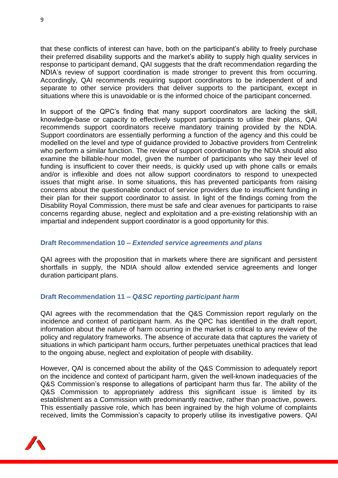that these conflicts of interest can have, both on the participant's ability to freely purchase their preferred disability supports and the market's ability to supply high quality services in response to participant demand, QAI suggests that the draft recommendation regarding the NDIA's review of support coordination is made stronger to prevent this from occurring. Accordingly, QAI recommends requiring support coordinators to be independent of and separate to other service providers that deliver supports to the participant, except in situations where this is unavoidable or is the informed choice of the participant concerned.

In support of the QPC's finding that many support coordinators are lacking the skill, knowledge-base or capacity to effectively support participants to utilise their plans, QAI recommends support coordinators receive mandatory training provided by the NDIA. Support coordinators are essentially performing a function of the agency and this could be modelled on the level and type of guidance provided to Jobactive providers from Centrelink who perform a similar function. The review of support coordination by the NDIA should also examine the billable-hour model, given the number of participants who say their level of funding is insufficient to cover their needs, is quickly used up with phone calls or emails and/or is inflexible and does not allow support coordinators to respond to unexpected issues that might arise. In some situations, this has prevented participants from raising concerns about the questionable conduct of service providers due to insufficient funding in their plan for their support coordinator to assist. In light of the findings coming from the Disability Royal Commission, there must be safe and clear avenues for participants to raise concerns regarding abuse, neglect and exploitation and a pre-existing relationship with an impartial and independent support coordinator is a good opportunity for this.

#### **Draft Recommendation 10 –** *Extended service agreements and plans*

QAI agrees with the proposition that in markets where there are significant and persistent shortfalls in supply, the NDIA should allow extended service agreements and longer duration participant plans.

#### **Draft Recommendation 11 –** *Q&SC reporting participant harm*

QAI agrees with the recommendation that the Q&S Commission report regularly on the incidence and context of participant harm. As the QPC has identified in the draft report, information about the nature of harm occurring in the market is critical to any review of the policy and regulatory frameworks. The absence of accurate data that captures the variety of situations in which participant harm occurs, further perpetuates unethical practices that lead to the ongoing abuse, neglect and exploitation of people with disability.

However, QAI is concerned about the ability of the Q&S Commission to adequately report on the incidence and context of participant harm, given the well-known inadequacies of the Q&S Commission's response to allegations of participant harm thus far. The ability of the Q&S Commission to appropriately address this significant issue is limited by its establishment as a Commission with predominantly reactive, rather than proactive, powers. This essentially passive role, which has been ingrained by the high volume of complaints received, limits the Commission's capacity to properly utilise its investigative powers. QAI

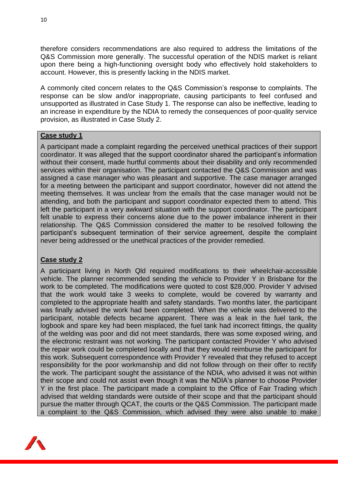therefore considers recommendations are also required to address the limitations of the Q&S Commission more generally. The successful operation of the NDIS market is reliant upon there being a high-functioning oversight body who effectively hold stakeholders to account. However, this is presently lacking in the NDIS market.

A commonly cited concern relates to the Q&S Commission's response to complaints. The response can be slow and/or inappropriate, causing participants to feel confused and unsupported as illustrated in Case Study 1. The response can also be ineffective, leading to an increase in expenditure by the NDIA to remedy the consequences of poor-quality service provision, as illustrated in Case Study 2.

#### **Case study 1**

A participant made a complaint regarding the perceived unethical practices of their support coordinator. It was alleged that the support coordinator shared the participant's information without their consent, made hurtful comments about their disability and only recommended services within their organisation. The participant contacted the Q&S Commission and was assigned a case manager who was pleasant and supportive. The case manager arranged for a meeting between the participant and support coordinator, however did not attend the meeting themselves. It was unclear from the emails that the case manager would not be attending, and both the participant and support coordinator expected them to attend. This left the participant in a very awkward situation with the support coordinator. The participant felt unable to express their concerns alone due to the power imbalance inherent in their relationship. The Q&S Commission considered the matter to be resolved following the participant's subsequent termination of their service agreement, despite the complaint never being addressed or the unethical practices of the provider remedied.

#### **Case study 2**

A participant living in North Qld required modifications to their wheelchair-accessible vehicle. The planner recommended sending the vehicle to Provider Y in Brisbane for the work to be completed. The modifications were quoted to cost \$28,000. Provider Y advised that the work would take 3 weeks to complete, would be covered by warranty and completed to the appropriate health and safety standards. Two months later, the participant was finally advised the work had been completed. When the vehicle was delivered to the participant, notable defects became apparent. There was a leak in the fuel tank, the logbook and spare key had been misplaced, the fuel tank had incorrect fittings, the quality of the welding was poor and did not meet standards, there was some exposed wiring, and the electronic restraint was not working. The participant contacted Provider Y who advised the repair work could be completed locally and that they would reimburse the participant for this work. Subsequent correspondence with Provider Y revealed that they refused to accept responsibility for the poor workmanship and did not follow through on their offer to rectify the work. The participant sought the assistance of the NDIA, who advised it was not within their scope and could not assist even though it was the NDIA's planner to choose Provider Y in the first place. The participant made a complaint to the Office of Fair Trading which advised that welding standards were outside of their scope and that the participant should pursue the matter through QCAT, the courts or the Q&S Commission. The participant made a complaint to the Q&S Commission, which advised they were also unable to make

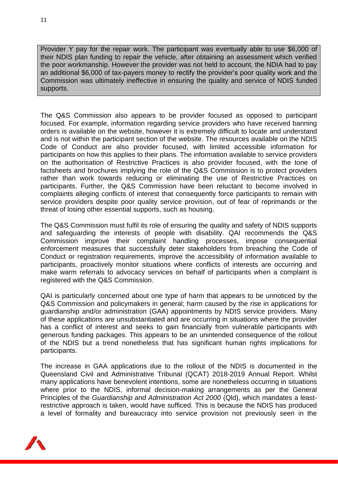Provider Y pay for the repair work. The participant was eventually able to use \$6,000 of their NDIS plan funding to repair the vehicle, after obtaining an assessment which verified the poor workmanship. However the provider was not held to account, the NDIA had to pay an additional \$6,000 of tax-payers money to rectify the provider's poor quality work and the Commission was ultimately ineffective in ensuring the quality and service of NDIS funded supports.

The Q&S Commission also appears to be provider focused as opposed to participant focused. For example, information regarding service providers who have received banning orders is available on the website, however it is extremely difficult to locate and understand and is not within the participant section of the website. The resources available on the NDIS Code of Conduct are also provider focused, with limited accessible information for participants on how this applies to their plans. The information available to service providers on the authorisation of Restrictive Practices is also provider focused, with the tone of factsheets and brochures implying the role of the Q&S Commission is to protect providers rather than work towards reducing or eliminating the use of Restrictive Practices on participants. Further, the Q&S Commission have been reluctant to become involved in complaints alleging conflicts of interest that consequently force participants to remain with service providers despite poor quality service provision, out of fear of reprimands or the threat of losing other essential supports, such as housing.

The Q&S Commission must fulfil its role of ensuring the quality and safety of NDIS supports and safeguarding the interests of people with disability. QAI recommends the Q&S Commission improve their complaint handling processes, impose consequential enforcement measures that successfully deter stakeholders from breaching the Code of Conduct or registration requirements, improve the accessibility of information available to participants, proactively monitor situations where conflicts of interests are occurring and make warm referrals to advocacy services on behalf of participants when a complaint is registered with the Q&S Commission.

QAI is particularly concerned about one type of harm that appears to be unnoticed by the Q&S Commission and policymakers in general; harm caused by the rise in applications for guardianship and/or administration (GAA) appointments by NDIS service providers. Many of these applications are unsubstantiated and are occurring in situations where the provider has a conflict of interest and seeks to gain financially from vulnerable participants with generous funding packages. This appears to be an unintended consequence of the rollout of the NDIS but a trend nonetheless that has significant human rights implications for participants.

The increase in GAA applications due to the rollout of the NDIS is documented in the Queensland Civil and Administrative Tribunal (QCAT) 2018-2019 Annual Report. Whilst many applications have benevolent intentions, some are nonetheless occurring in situations where prior to the NDIS, informal decision-making arrangements as per the General Principles of the *Guardianship and Administration Act 2000* (Qld), which mandates a leastrestrictive approach is taken, would have sufficed. This is because the NDIS has produced a level of formality and bureaucracy into service provision not previously seen in the

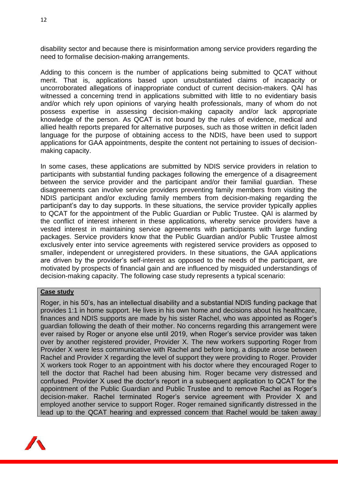disability sector and because there is misinformation among service providers regarding the need to formalise decision-making arrangements.

Adding to this concern is the number of applications being submitted to QCAT without merit. That is, applications based upon unsubstantiated claims of incapacity or uncorroborated allegations of inappropriate conduct of current decision-makers. QAI has witnessed a concerning trend in applications submitted with little to no evidentiary basis and/or which rely upon opinions of varying health professionals, many of whom do not possess expertise in assessing decision-making capacity and/or lack appropriate knowledge of the person. As QCAT is not bound by the rules of evidence, medical and allied health reports prepared for alternative purposes, such as those written in deficit laden language for the purpose of obtaining access to the NDIS, have been used to support applications for GAA appointments, despite the content not pertaining to issues of decisionmaking capacity.

In some cases, these applications are submitted by NDIS service providers in relation to participants with substantial funding packages following the emergence of a disagreement between the service provider and the participant and/or their familial guardian. These disagreements can involve service providers preventing family members from visiting the NDIS participant and/or excluding family members from decision-making regarding the participant's day to day supports. In these situations, the service provider typically applies to QCAT for the appointment of the Public Guardian or Public Trustee. QAI is alarmed by the conflict of interest inherent in these applications, whereby service providers have a vested interest in maintaining service agreements with participants with large funding packages. Service providers know that the Public Guardian and/or Public Trustee almost exclusively enter into service agreements with registered service providers as opposed to smaller, independent or unregistered providers. In these situations, the GAA applications are driven by the provider's self-interest as opposed to the needs of the participant, are motivated by prospects of financial gain and are influenced by misguided understandings of decision-making capacity. The following case study represents a typical scenario:

#### **Case study**

Roger, in his 50's, has an intellectual disability and a substantial NDIS funding package that provides 1:1 in home support. He lives in his own home and decisions about his healthcare, finances and NDIS supports are made by his sister Rachel, who was appointed as Roger's guardian following the death of their mother. No concerns regarding this arrangement were ever raised by Roger or anyone else until 2019, when Roger's service provider was taken over by another registered provider, Provider X. The new workers supporting Roger from Provider X were less communicative with Rachel and before long, a dispute arose between Rachel and Provider X regarding the level of support they were providing to Roger. Provider X workers took Roger to an appointment with his doctor where they encouraged Roger to tell the doctor that Rachel had been abusing him. Roger became very distressed and confused. Provider X used the doctor's report in a subsequent application to QCAT for the appointment of the Public Guardian and Public Trustee and to remove Rachel as Roger's decision-maker. Rachel terminated Roger's service agreement with Provider X and employed another service to support Roger. Roger remained significantly distressed in the lead up to the QCAT hearing and expressed concern that Rachel would be taken away

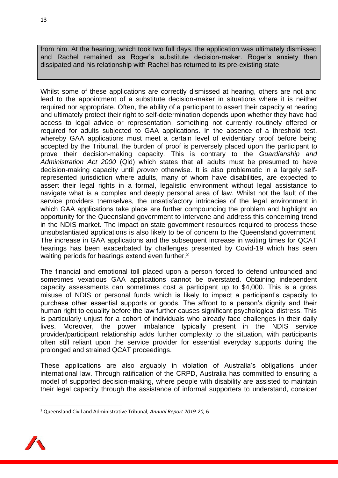from him. At the hearing, which took two full days, the application was ultimately dismissed and Rachel remained as Roger's substitute decision-maker. Roger's anxiety then dissipated and his relationship with Rachel has returned to its pre-existing state.

Whilst some of these applications are correctly dismissed at hearing, others are not and lead to the appointment of a substitute decision-maker in situations where it is neither required nor appropriate. Often, the ability of a participant to assert their capacity at hearing and ultimately protect their right to self-determination depends upon whether they have had access to legal advice or representation, something not currently routinely offered or required for adults subjected to GAA applications. In the absence of a threshold test, whereby GAA applications must meet a certain level of evidentiary proof before being accepted by the Tribunal, the burden of proof is perversely placed upon the participant to prove their decision-making capacity. This is contrary to the *Guardianship and Administration Act 2000* (Qld) which states that all adults must be presumed to have decision-making capacity until *proven* otherwise. It is also problematic in a largely selfrepresented jurisdiction where adults, many of whom have disabilities, are expected to assert their legal rights in a formal, legalistic environment without legal assistance to navigate what is a complex and deeply personal area of law. Whilst not the fault of the service providers themselves, the unsatisfactory intricacies of the legal environment in which GAA applications take place are further compounding the problem and highlight an opportunity for the Queensland government to intervene and address this concerning trend in the NDIS market. The impact on state government resources required to process these unsubstantiated applications is also likely to be of concern to the Queensland government. The increase in GAA applications and the subsequent increase in waiting times for QCAT hearings has been exacerbated by challenges presented by Covid-19 which has seen waiting periods for hearings extend even further.<sup>2</sup>

The financial and emotional toll placed upon a person forced to defend unfounded and sometimes vexatious GAA applications cannot be overstated. Obtaining independent capacity assessments can sometimes cost a participant up to \$4,000. This is a gross misuse of NDIS or personal funds which is likely to impact a participant's capacity to purchase other essential supports or goods. The affront to a person's dignity and their human right to equality before the law further causes significant psychological distress. This is particularly unjust for a cohort of individuals who already face challenges in their daily lives. Moreover, the power imbalance typically present in the NDIS service provider/participant relationship adds further complexity to the situation, with participants often still reliant upon the service provider for essential everyday supports during the prolonged and strained QCAT proceedings.

These applications are also arguably in violation of Australia's obligations under international law. Through ratification of the CRPD, Australia has committed to ensuring a model of supported decision-making, where people with disability are assisted to maintain their legal capacity through the assistance of informal supporters to understand, consider

<sup>2</sup> Queensland Civil and Administrative Tribunal, *Annual Report 2019-20,* 6

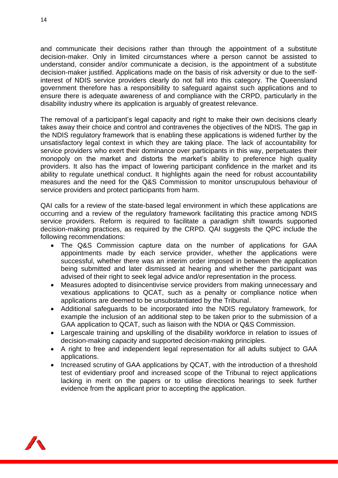and communicate their decisions rather than through the appointment of a substitute decision-maker. Only in limited circumstances where a person cannot be assisted to understand, consider and/or communicate a decision, is the appointment of a substitute decision-maker justified. Applications made on the basis of risk adversity or due to the selfinterest of NDIS service providers clearly do not fall into this category. The Queensland government therefore has a responsibility to safeguard against such applications and to ensure there is adequate awareness of and compliance with the CRPD, particularly in the disability industry where its application is arguably of greatest relevance.

The removal of a participant's legal capacity and right to make their own decisions clearly takes away their choice and control and contravenes the objectives of the NDIS. The gap in the NDIS regulatory framework that is enabling these applications is widened further by the unsatisfactory legal context in which they are taking place. The lack of accountability for service providers who exert their dominance over participants in this way, perpetuates their monopoly on the market and distorts the market's ability to preference high quality providers. It also has the impact of lowering participant confidence in the market and its ability to regulate unethical conduct. It highlights again the need for robust accountability measures and the need for the Q&S Commission to monitor unscrupulous behaviour of service providers and protect participants from harm.

QAI calls for a review of the state-based legal environment in which these applications are occurring and a review of the regulatory framework facilitating this practice among NDIS service providers. Reform is required to facilitate a paradigm shift towards supported decision-making practices, as required by the CRPD. QAI suggests the QPC include the following recommendations:

- The Q&S Commission capture data on the number of applications for GAA appointments made by each service provider, whether the applications were successful, whether there was an interim order imposed in between the application being submitted and later dismissed at hearing and whether the participant was advised of their right to seek legal advice and/or representation in the process.
- Measures adopted to disincentivise service providers from making unnecessary and vexatious applications to QCAT, such as a penalty or compliance notice when applications are deemed to be unsubstantiated by the Tribunal.
- Additional safeguards to be incorporated into the NDIS regulatory framework, for example the inclusion of an additional step to be taken prior to the submission of a GAA application to QCAT, such as liaison with the NDIA or Q&S Commission.
- Largescale training and upskilling of the disability workforce in relation to issues of decision-making capacity and supported decision-making principles.
- A right to free and independent legal representation for all adults subject to GAA applications.
- Increased scrutiny of GAA applications by QCAT, with the introduction of a threshold test of evidentiary proof and increased scope of the Tribunal to reject applications lacking in merit on the papers or to utilise directions hearings to seek further evidence from the applicant prior to accepting the application.

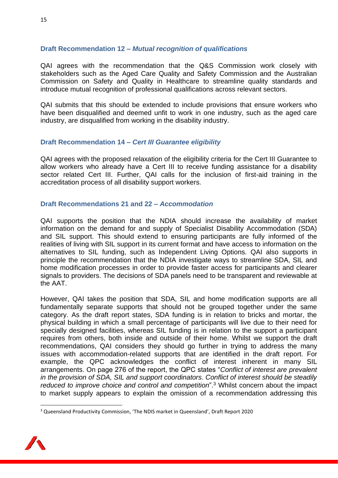#### **Draft Recommendation 12 –** *Mutual recognition of qualifications*

QAI agrees with the recommendation that the Q&S Commission work closely with stakeholders such as the Aged Care Quality and Safety Commission and the Australian Commission on Safety and Quality in Healthcare to streamline quality standards and introduce mutual recognition of professional qualifications across relevant sectors.

QAI submits that this should be extended to include provisions that ensure workers who have been disqualified and deemed unfit to work in one industry, such as the aged care industry, are disqualified from working in the disability industry.

#### **Draft Recommendation 14 –** *Cert III Guarantee eligibility*

QAI agrees with the proposed relaxation of the eligibility criteria for the Cert III Guarantee to allow workers who already have a Cert III to receive funding assistance for a disability sector related Cert III. Further, QAI calls for the inclusion of first-aid training in the accreditation process of all disability support workers.

#### **Draft Recommendations 21 and 22 –** *Accommodation*

QAI supports the position that the NDIA should increase the availability of market information on the demand for and supply of Specialist Disability Accommodation (SDA) and SIL support. This should extend to ensuring participants are fully informed of the realities of living with SIL support in its current format and have access to information on the alternatives to SIL funding, such as Independent Living Options. QAI also supports in principle the recommendation that the NDIA investigate ways to streamline SDA, SIL and home modification processes in order to provide faster access for participants and clearer signals to providers. The decisions of SDA panels need to be transparent and reviewable at the AAT.

However, QAI takes the position that SDA, SIL and home modification supports are all fundamentally separate supports that should not be grouped together under the same category. As the draft report states, SDA funding is in relation to bricks and mortar, the physical building in which a small percentage of participants will live due to their need for specially designed facilities, whereas SIL funding is in relation to the support a participant requires from others, both inside and outside of their home. Whilst we support the draft recommendations, QAI considers they should go further in trying to address the many issues with accommodation-related supports that are identified in the draft report. For example, the QPC acknowledges the conflict of interest inherent in many SIL arrangements. On page 276 of the report, the QPC states "*Conflict of interest are prevalent in the provision of SDA, SIL and support coordinators. Conflict of interest should be steadily reduced to improve choice and control and competition*".<sup>3</sup> Whilst concern about the impact to market supply appears to explain the omission of a recommendation addressing this

<sup>&</sup>lt;sup>3</sup> Queensland Productivity Commission, 'The NDIS market in Queensland', Draft Report 2020

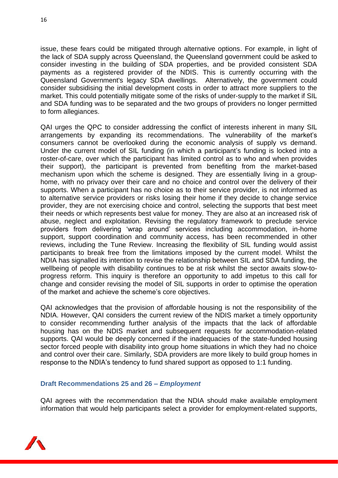16

issue, these fears could be mitigated through alternative options. For example, in light of the lack of SDA supply across Queensland, the Queensland government could be asked to consider investing in the building of SDA properties, and be provided consistent SDA payments as a registered provider of the NDIS. This is currently occurring with the Queensland Government's legacy SDA dwellings. Alternatively, the government could consider subsidising the initial development costs in order to attract more suppliers to the market. This could potentially mitigate some of the risks of under-supply to the market if SIL and SDA funding was to be separated and the two groups of providers no longer permitted to form allegiances.

QAI urges the QPC to consider addressing the conflict of interests inherent in many SIL arrangements by expanding its recommendations. The vulnerability of the market's consumers cannot be overlooked during the economic analysis of supply vs demand. Under the current model of SIL funding (in which a participant's funding is locked into a roster-of-care, over which the participant has limited control as to who and when provides their support), the participant is prevented from benefiting from the market-based mechanism upon which the scheme is designed. They are essentially living in a grouphome, with no privacy over their care and no choice and control over the delivery of their supports. When a participant has no choice as to their service provider, is not informed as to alternative service providers or risks losing their home if they decide to change service provider, they are not exercising choice and control, selecting the supports that best meet their needs or which represents best value for money. They are also at an increased risk of abuse, neglect and exploitation. Revising the regulatory framework to preclude service providers from delivering 'wrap around' services including accommodation, in-home support, support coordination and community access, has been recommended in other reviews, including the Tune Review. Increasing the flexibility of SIL funding would assist participants to break free from the limitations imposed by the current model. Whilst the NDIA has signalled its intention to revise the relationship between SIL and SDA funding, the wellbeing of people with disability continues to be at risk whilst the sector awaits slow-toprogress reform. This inquiry is therefore an opportunity to add impetus to this call for change and consider revising the model of SIL supports in order to optimise the operation of the market and achieve the scheme's core objectives.

QAI acknowledges that the provision of affordable housing is not the responsibility of the NDIA. However, QAI considers the current review of the NDIS market a timely opportunity to consider recommending further analysis of the impacts that the lack of affordable housing has on the NDIS market and subsequent requests for accommodation-related supports. QAI would be deeply concerned if the inadequacies of the state-funded housing sector forced people with disability into group home situations in which they had no choice and control over their care. Similarly, SDA providers are more likely to build group homes in response to the NDIA's tendency to fund shared support as opposed to 1:1 funding.

#### **Draft Recommendations 25 and 26 –** *Employment*

QAI agrees with the recommendation that the NDIA should make available employment information that would help participants select a provider for employment-related supports,

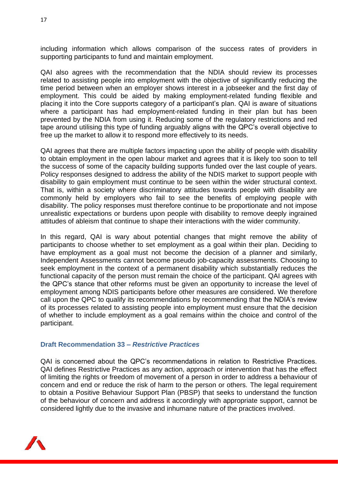including information which allows comparison of the success rates of providers in supporting participants to fund and maintain employment.

QAI also agrees with the recommendation that the NDIA should review its processes related to assisting people into employment with the objective of significantly reducing the time period between when an employer shows interest in a jobseeker and the first day of employment. This could be aided by making employment-related funding flexible and placing it into the Core supports category of a participant's plan. QAI is aware of situations where a participant has had employment-related funding in their plan but has been prevented by the NDIA from using it. Reducing some of the regulatory restrictions and red tape around utilising this type of funding arguably aligns with the QPC's overall objective to free up the market to allow it to respond more effectively to its needs.

QAI agrees that there are multiple factors impacting upon the ability of people with disability to obtain employment in the open labour market and agrees that it is likely too soon to tell the success of some of the capacity building supports funded over the last couple of years. Policy responses designed to address the ability of the NDIS market to support people with disability to gain employment must continue to be seen within the wider structural context. That is, within a society where discriminatory attitudes towards people with disability are commonly held by employers who fail to see the benefits of employing people with disability. The policy responses must therefore continue to be proportionate and not impose unrealistic expectations or burdens upon people with disability to remove deeply ingrained attitudes of ableism that continue to shape their interactions with the wider community.

In this regard, QAI is wary about potential changes that might remove the ability of participants to choose whether to set employment as a goal within their plan. Deciding to have employment as a goal must not become the decision of a planner and similarly, Independent Assessments cannot become pseudo job-capacity assessments. Choosing to seek employment in the context of a permanent disability which substantially reduces the functional capacity of the person must remain the choice of the participant. QAI agrees with the QPC's stance that other reforms must be given an opportunity to increase the level of employment among NDIS participants before other measures are considered. We therefore call upon the QPC to qualify its recommendations by recommending that the NDIA's review of its processes related to assisting people into employment must ensure that the decision of whether to include employment as a goal remains within the choice and control of the participant.

#### **Draft Recommendation 33 –** *Restrictive Practices*

QAI is concerned about the QPC's recommendations in relation to Restrictive Practices. QAI defines Restrictive Practices as any action, approach or intervention that has the effect of limiting the rights or freedom of movement of a person in order to address a behaviour of concern and end or reduce the risk of harm to the person or others. The legal requirement to obtain a Positive Behaviour Support Plan (PBSP) that seeks to understand the function of the behaviour of concern and address it accordingly with appropriate support, cannot be considered lightly due to the invasive and inhumane nature of the practices involved.

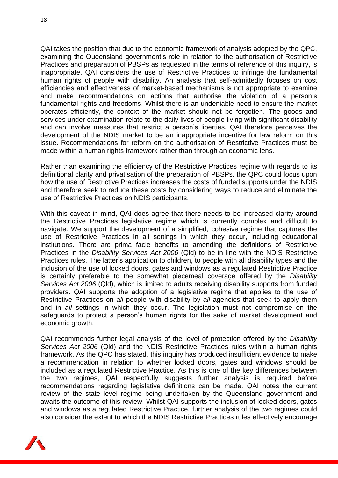18

QAI takes the position that due to the economic framework of analysis adopted by the QPC, examining the Queensland government's role in relation to the authorisation of Restrictive Practices and preparation of PBSPs as requested in the terms of reference of this inquiry, is inappropriate. QAI considers the use of Restrictive Practices to infringe the fundamental human rights of people with disability. An analysis that self-admittedly focuses on cost efficiencies and effectiveness of market-based mechanisms is not appropriate to examine and make recommendations on actions that authorise the violation of a person's fundamental rights and freedoms. Whilst there is an undeniable need to ensure the market operates efficiently, the context of the market should not be forgotten. The goods and services under examination relate to the daily lives of people living with significant disability and can involve measures that restrict a person's liberties. QAI therefore perceives the development of the NDIS market to be an inappropriate incentive for law reform on this issue. Recommendations for reform on the authorisation of Restrictive Practices must be made within a human rights framework rather than through an economic lens.

Rather than examining the efficiency of the Restrictive Practices regime with regards to its definitional clarity and privatisation of the preparation of PBSPs, the QPC could focus upon how the use of Restrictive Practices increases the costs of funded supports under the NDIS and therefore seek to reduce these costs by considering ways to reduce and eliminate the use of Restrictive Practices on NDIS participants.

With this caveat in mind, QAI does agree that there needs to be increased clarity around the Restrictive Practices legislative regime which is currently complex and difficult to navigate. We support the development of a simplified, cohesive regime that captures the use of Restrictive Practices in all settings in which they occur, including educational institutions. There are prima facie benefits to amending the definitions of Restrictive Practices in the *Disability Services Act 2006* (Qld) to be in line with the NDIS Restrictive Practices rules. The latter's application to children, to people with all disability types and the inclusion of the use of locked doors, gates and windows as a regulated Restrictive Practice is certainly preferable to the somewhat piecemeal coverage offered by the *Disability Services Act 2006* (Qld), which is limited to adults receiving disability supports from funded providers. QAI supports the adoption of a legislative regime that applies to the use of Restrictive Practices on *all* people with disability by *all* agencies that seek to apply them and in *all* settings in which they occur. The legislation must not compromise on the safeguards to protect a person's human rights for the sake of market development and economic growth.

QAI recommends further legal analysis of the level of protection offered by the *Disability Services Act 2006* (Qld) and the NDIS Restrictive Practices rules within a human rights framework. As the QPC has stated, this inquiry has produced insufficient evidence to make a recommendation in relation to whether locked doors, gates and windows should be included as a regulated Restrictive Practice. As this is one of the key differences between the two regimes, QAI respectfully suggests further analysis is required before recommendations regarding legislative definitions can be made. QAI notes the current review of the state level regime being undertaken by the Queensland government and awaits the outcome of this review. Whilst QAI supports the inclusion of locked doors, gates and windows as a regulated Restrictive Practice, further analysis of the two regimes could also consider the extent to which the NDIS Restrictive Practices rules effectively encourage

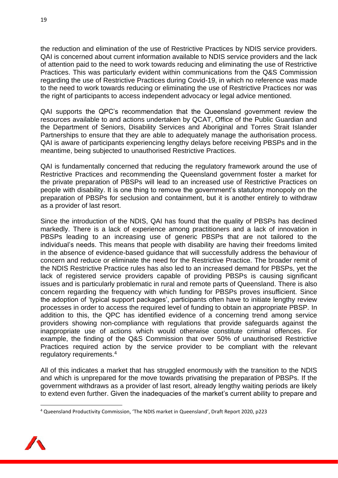the reduction and elimination of the use of Restrictive Practices by NDIS service providers. QAI is concerned about current information available to NDIS service providers and the lack of attention paid to the need to work towards reducing and eliminating the use of Restrictive Practices. This was particularly evident within communications from the Q&S Commission regarding the use of Restrictive Practices during Covid-19, in which no reference was made to the need to work towards reducing or eliminating the use of Restrictive Practices nor was the right of participants to access independent advocacy or legal advice mentioned.

QAI supports the QPC's recommendation that the Queensland government review the resources available to and actions undertaken by QCAT, Office of the Public Guardian and the Department of Seniors, Disability Services and Aboriginal and Torres Strait Islander Partnerships to ensure that they are able to adequately manage the authorisation process. QAI is aware of participants experiencing lengthy delays before receiving PBSPs and in the meantime, being subjected to unauthorised Restrictive Practices.

QAI is fundamentally concerned that reducing the regulatory framework around the use of Restrictive Practices and recommending the Queensland government foster a market for the private preparation of PBSPs will lead to an increased use of Restrictive Practices on people with disability. It is one thing to remove the government's statutory monopoly on the preparation of PBSPs for seclusion and containment, but it is another entirely to withdraw as a provider of last resort.

Since the introduction of the NDIS, QAI has found that the quality of PBSPs has declined markedly. There is a lack of experience among practitioners and a lack of innovation in PBSPs leading to an increasing use of generic PBSPs that are not tailored to the individual's needs. This means that people with disability are having their freedoms limited in the absence of evidence-based guidance that will successfully address the behaviour of concern and reduce or eliminate the need for the Restrictive Practice. The broader remit of the NDIS Restrictive Practice rules has also led to an increased demand for PBSPs, yet the lack of registered service providers capable of providing PBSPs is causing significant issues and is particularly problematic in rural and remote parts of Queensland. There is also concern regarding the frequency with which funding for PBSPs proves insufficient. Since the adoption of 'typical support packages', participants often have to initiate lengthy review processes in order to access the required level of funding to obtain an appropriate PBSP. In addition to this, the QPC has identified evidence of a concerning trend among service providers showing non-compliance with regulations that provide safeguards against the inappropriate use of actions which would otherwise constitute criminal offences. For example, the finding of the Q&S Commission that over 50% of unauthorised Restrictive Practices required action by the service provider to be compliant with the relevant regulatory requirements.<sup>4</sup>

All of this indicates a market that has struggled enormously with the transition to the NDIS and which is unprepared for the move towards privatising the preparation of PBSPs. If the government withdraws as a provider of last resort, already lengthy waiting periods are likely to extend even further. Given the inadequacies of the market's current ability to prepare and

<sup>4</sup> Queensland Productivity Commission, 'The NDIS market in Queensland', Draft Report 2020, p223

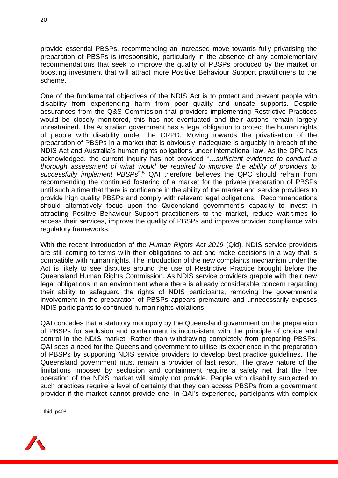provide essential PBSPs, recommending an increased move towards fully privatising the preparation of PBSPs is irresponsible, particularly in the absence of any complementary recommendations that seek to improve the quality of PBSPs produced by the market or boosting investment that will attract more Positive Behaviour Support practitioners to the scheme.

One of the fundamental objectives of the NDIS Act is to protect and prevent people with disability from experiencing harm from poor quality and unsafe supports. Despite assurances from the Q&S Commission that providers implementing Restrictive Practices would be closely monitored, this has not eventuated and their actions remain largely unrestrained. The Australian government has a legal obligation to protect the human rights of people with disability under the CRPD. Moving towards the privatisation of the preparation of PBSPs in a market that is obviously inadequate is arguably in breach of the NDIS Act and Australia's human rights obligations under international law. As the QPC has acknowledged, the current inquiry has not provided "…*sufficient evidence to conduct a thorough assessment of what would be required to improve the ability of providers to successfully implement PBSPs*". <sup>5</sup> QAI therefore believes the QPC should refrain from recommending the continued fostering of a market for the private preparation of PBSPs until such a time that there is confidence in the ability of the market and service providers to provide high quality PBSPs and comply with relevant legal obligations. Recommendations should alternatively focus upon the Queensland government's capacity to invest in attracting Positive Behaviour Support practitioners to the market, reduce wait-times to access their services, improve the quality of PBSPs and improve provider compliance with regulatory frameworks.

With the recent introduction of the *Human Rights Act 2019* (Qld), NDIS service providers are still coming to terms with their obligations to act and make decisions in a way that is compatible with human rights. The introduction of the new complaints mechanism under the Act is likely to see disputes around the use of Restrictive Practice brought before the Queensland Human Rights Commission. As NDIS service providers grapple with their new legal obligations in an environment where there is already considerable concern regarding their ability to safeguard the rights of NDIS participants, removing the government's involvement in the preparation of PBSPs appears premature and unnecessarily exposes NDIS participants to continued human rights violations.

QAI concedes that a statutory monopoly by the Queensland government on the preparation of PBSPs for seclusion and containment is inconsistent with the principle of choice and control in the NDIS market. Rather than withdrawing completely from preparing PBSPs, QAI sees a need for the Queensland government to utilise its experience in the preparation of PBSPs by supporting NDIS service providers to develop best practice guidelines. The Queensland government must remain a provider of last resort. The grave nature of the limitations imposed by seclusion and containment require a safety net that the free operation of the NDIS market will simply not provide. People with disability subjected to such practices require a level of certainty that they can access PBSPs from a government provider if the market cannot provide one. In QAI's experience, participants with complex

<sup>5</sup> Ibid, p403

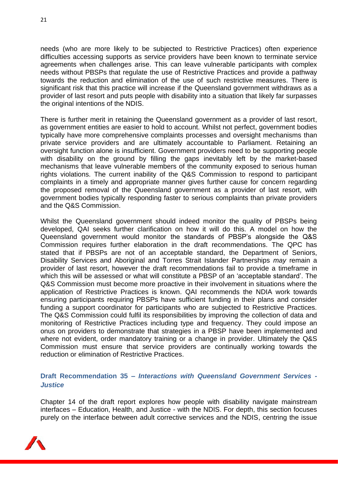needs (who are more likely to be subjected to Restrictive Practices) often experience difficulties accessing supports as service providers have been known to terminate service agreements when challenges arise. This can leave vulnerable participants with complex needs without PBSPs that regulate the use of Restrictive Practices and provide a pathway towards the reduction and elimination of the use of such restrictive measures. There is significant risk that this practice will increase if the Queensland government withdraws as a provider of last resort and puts people with disability into a situation that likely far surpasses the original intentions of the NDIS.

There is further merit in retaining the Queensland government as a provider of last resort, as government entities are easier to hold to account. Whilst not perfect, government bodies typically have more comprehensive complaints processes and oversight mechanisms than private service providers and are ultimately accountable to Parliament. Retaining an oversight function alone is insufficient. Government providers need to be supporting people with disability on the ground by filling the gaps inevitably left by the market-based mechanisms that leave vulnerable members of the community exposed to serious human rights violations. The current inability of the Q&S Commission to respond to participant complaints in a timely and appropriate manner gives further cause for concern regarding the proposed removal of the Queensland government as a provider of last resort, with government bodies typically responding faster to serious complaints than private providers and the Q&S Commission.

Whilst the Queensland government should indeed monitor the quality of PBSPs being developed, QAI seeks further clarification on how it will do this. A model on how the Queensland government would monitor the standards of PBSP's alongside the Q&S Commission requires further elaboration in the draft recommendations. The QPC has stated that if PBSPs are not of an acceptable standard, the Department of Seniors, Disability Services and Aboriginal and Torres Strait Islander Partnerships *may* remain a provider of last resort, however the draft recommendations fail to provide a timeframe in which this will be assessed or what will constitute a PBSP of an 'acceptable standard'. The Q&S Commission must become more proactive in their involvement in situations where the application of Restrictive Practices is known. QAI recommends the NDIA work towards ensuring participants requiring PBSPs have sufficient funding in their plans and consider funding a support coordinator for participants who are subjected to Restrictive Practices. The Q&S Commission could fulfil its responsibilities by improving the collection of data and monitoring of Restrictive Practices including type and frequency. They could impose an onus on providers to demonstrate that strategies in a PBSP have been implemented and where not evident, order mandatory training or a change in provider. Ultimately the Q&S Commission must ensure that service providers are continually working towards the reduction or elimination of Restrictive Practices.

### **Draft Recommendation 35** *– Interactions with Queensland Government Services - Justice*

Chapter 14 of the draft report explores how people with disability navigate mainstream interfaces – Education, Health, and Justice - with the NDIS. For depth, this section focuses purely on the interface between adult corrective services and the NDIS, centring the issue

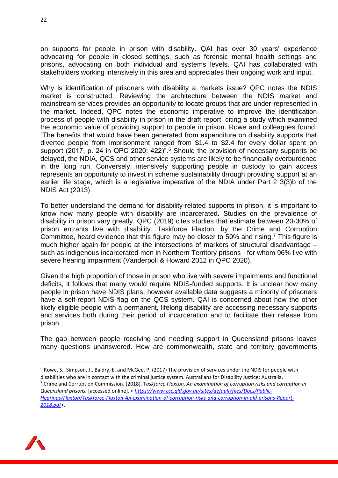on supports for people in prison with disability. QAI has over 30 years' experience advocating for people in closed settings, such as forensic mental health settings and prisons, advocating on both individual and systems levels. QAI has collaborated with stakeholders working intensively in this area and appreciates their ongoing work and input.

Why is identification of prisoners with disability a markets issue? QPC notes the NDIS market is constructed. Reviewing the architecture between the NDIS market and mainstream services provides an opportunity to locate groups that are under-represented in the market. Indeed, QPC notes the economic imperative to improve the identification process of people with disability in prison in the draft report, citing a study which examined the economic value of providing support to people in prison. Rowe and colleagues found, "The benefits that would have been generated from expenditure on disability supports that diverted people from imprisonment ranged from \$1.4 to \$2.4 for every dollar spent on support (2017, p. 24 in QPC 2020: 422)<sup>" 6</sup> Should the provision of necessary supports be delayed, the NDIA, QCS and other service systems are likely to be financially overburdened in the long run. Conversely, intensively supporting people in custody to gain access represents an opportunity to invest in scheme sustainability through providing support at an earlier life stage, which is a legislative imperative of the NDIA under Part 2 3(3)b of the NDIS Act (2013).

To better understand the demand for disability-related supports in prison, it is important to know how many people with disability are incarcerated. Studies on the prevalence of disability in prison vary greatly. QPC (2019) cites studies that estimate between 20-30% of prison entrants live with disability. Taskforce Flaxton, by the Crime and Corruption Committee, heard evidence that this figure may be closer to 50% and rising.<sup>7</sup> This figure is much higher again for people at the intersections of markers of structural disadvantage – such as indigenous incarcerated men in Northern Territory prisons - for whom 96% live with severe hearing impairment (Vanderpoll & Howard 2012 in QPC 2020).

Given the high proportion of those in prison who live with severe impairments and functional deficits, it follows that many would require NDIS-funded supports. It is unclear how many people in prison have NDIS plans, however available data suggests a minority of prisoners have a self-report NDIS flag on the QCS system. QAI is concerned about how the other likely eligible people with a permanent, lifelong disability are accessing necessary supports and services both during their period of incarceration and to facilitate their release from prison.

The gap between people receiving and needing support in Queensland prisons leaves many questions unanswered. How are commonwealth, state and territory governments



 $6$  Rowe, S., Simpson, J., Baldry, E. and McGee, P. (2017) The provision of services under the NDIS for people with disabilities who are in contact with the criminal justice system. Australians for Disability Justice: Australia.

<sup>7</sup> Crime and Corruption Commission. (2018). T*askforce Flaxton, An examination of corruption risks and corruption in Queensland prisons.* [accessed online]. < *[https://www.ccc.qld.gov.au/sites/default/files/Docs/Public-](https://www.ccc.qld.gov.au/sites/default/files/Docs/Public-Hearings/Flaxton/Taskforce-Flaxton-An-examination-of-corruption-risks-and-corruption-in-qld-prisons-Report-2018.pdf)[Hearings/Flaxton/Taskforce-Flaxton-An-examination-of-corruption-risks-and-corruption-in-qld-prisons-Report-](https://www.ccc.qld.gov.au/sites/default/files/Docs/Public-Hearings/Flaxton/Taskforce-Flaxton-An-examination-of-corruption-risks-and-corruption-in-qld-prisons-Report-2018.pdf)[2018.pdf](https://www.ccc.qld.gov.au/sites/default/files/Docs/Public-Hearings/Flaxton/Taskforce-Flaxton-An-examination-of-corruption-risks-and-corruption-in-qld-prisons-Report-2018.pdf)*>.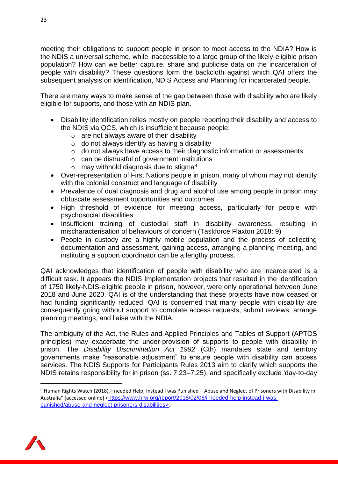meeting their obligations to support people in prison to meet access to the NDIA? How is the NDIS a universal scheme, while inaccessible to a large group of the likely-eligible prison population? How can we better capture, share and publicise data on the incarceration of people with disability? These questions form the backcloth against which QAI offers the subsequent analysis on identification, NDIS Access and Planning for incarcerated people.

There are many ways to make sense of the gap between those with disability who are likely eligible for supports, and those with an NDIS plan.

- Disability identification relies mostly on people reporting their disability and access to the NDIS via QCS, which is insufficient because people:
	- $\circ$  are not always aware of their disability
	- $\circ$  do not always identify as having a disability
	- o do not always have access to their diagnostic information or assessments
	- $\circ$  can be distrustful of government institutions
	- $\circ$  may withhold diagnosis due to stigma<sup>8</sup>
- Over-representation of First Nations people in prison, many of whom may not identify with the colonial construct and language of disability
- Prevalence of dual diagnosis and drug and alcohol use among people in prison may obfuscate assessment opportunities and outcomes
- High threshold of evidence for meeting access, particularly for people with psychosocial disabilities
- Insufficient training of custodial staff in disability awareness, resulting in mischaracterisation of behaviours of concern (Taskforce Flaxton 2018: 9)
- People in custody are a highly mobile population and the process of collecting documentation and assessment, gaining access, arranging a planning meeting, and instituting a support coordinator can be a lengthy process.

QAI acknowledges that identification of people with disability who are incarcerated is a difficult task. It appears the NDIS Implementation projects that resulted in the identification of 1750 likely-NDIS-eligible people in prison, however, were only operational between June 2018 and June 2020. QAI is of the understanding that these projects have now ceased or had funding significantly reduced. QAI is concerned that many people with disability are consequently going without support to complete access requests, submit reviews, arrange planning meetings, and liaise with the NDIA.

The ambiguity of the Act, the Rules and Applied Principles and Tables of Support (APTOS principles) may exacerbate the under-provision of supports to people with disability in prison. The *Disability Discrimination Act 1992* (Cth) mandates state and territory governments make "reasonable adjustment" to ensure people with disability can access services. The NDIS Supports for Participants Rules 2013 aim to clarify which supports the NDIS retains responsibility for in prison (ss. 7.23–7.25), and specifically exclude 'day-to-day



<sup>8</sup> Human Rights Watch (2018). I needed Help, Instead I was Punished - Abuse and Neglect of Prisoners with Disability in Australia" [accessed online] <[https://www.hrw.org/report/2018/02/06/i-needed-help-instead-i-was](https://www.hrw.org/report/2018/02/06/i-needed-help-instead-i-was-punished/abuse-and-neglect-prisoners-disabilities)[punished/abuse-and-neglect-prisoners-disabilities>](https://www.hrw.org/report/2018/02/06/i-needed-help-instead-i-was-punished/abuse-and-neglect-prisoners-disabilities).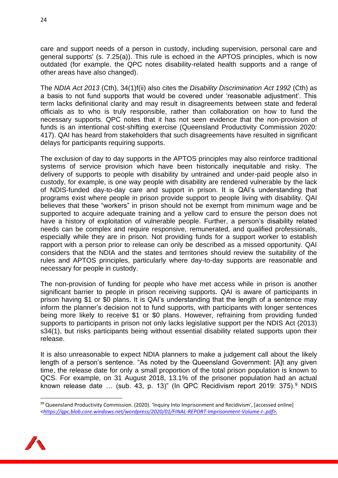care and support needs of a person in custody, including supervision, personal care and general supports' (s. 7.25(a)). This rule is echoed in the APTOS principles, which is now outdated (for example, the QPC notes disability-related health supports and a range of other areas have also changed).

The *NDIA Act 2013* (Cth)*,* 34(1)f(ii) also cites the *Disability Discrimination Act 1992* (Cth) as a basis to not fund supports that would be covered under 'reasonable adjustment'. This term lacks definitional clarity and may result in disagreements between state and federal officials as to who is truly responsible, rather than collaboration on how to fund the necessary supports. QPC notes that it has not seen evidence that the non-provision of funds is an intentional cost-shifting exercise (Queensland Productivity Commission 2020: 417). QAI has heard from stakeholders that such disagreements have resulted in significant delays for participants requiring supports.

The exclusion of day to day supports in the APTOS principles may also reinforce traditional systems of service provision which have been historically inequitable and risky. The delivery of supports to people with disability by untrained and under-paid people also in custody, for example, is one way people with disability are rendered vulnerable by the lack of NDIS-funded day-to-day care and support in prison. It is QAI's understanding that programs exist where people in prison provide support to people living with disability. QAI believes that these "workers" in prison should not be exempt from minimum wage and be supported to acquire adequate training and a yellow card to ensure the person does not have a history of exploitation of vulnerable people. Further, a person's disability related needs can be complex and require responsive, remunerated, and qualified professionals, especially while they are in prison. Not providing funds for a support worker to establish rapport with a person prior to release can only be described as a missed opportunity. QAI considers that the NDIA and the states and territories should review the suitability of the rules and APTOS principles, particularly where day-to-day supports are reasonable and necessary for people in custody.

The non-provision of funding for people who have met access while in prison is another significant barrier to people in prison receiving supports. QAI is aware of participants in prison having \$1 or \$0 plans. It is QAI's understanding that the length of a sentence may inform the planner's decision not to fund supports, with participants with longer sentences being more likely to receive \$1 or \$0 plans. However, refraining from providing funded supports to participants in prison not only lacks legislative support per the NDIS Act (2013) s34(1), but risks participants being without essential disability related supports upon their release.

It is also unreasonable to expect NDIA planners to make a judgement call about the likely length of a person's sentence. "As noted by the Queensland Government: [A]t any given time, the release date for only a small proportion of the total prison population is known to QCS. For example, on 31 August 2018, 13.1% of the prisoner population had an actual known release date ... (sub. 43, p. 13)" (In QPC Recidivism report 2019: 375).<sup>9</sup> NDIS

<sup>&</sup>lt;sup>99</sup> Queensland Productivity Commission. (2020). 'Inquiry Into Imprisonment and Recidivism', [accessed online] *[<https://qpc.blob.core.windows.net/wordpress/2020/01/FINAL-REPORT-Imprisonment-Volume-I-.pdf>](https://qpc.blob.core.windows.net/wordpress/2020/01/FINAL-REPORT-Imprisonment-Volume-I-.pdf).*

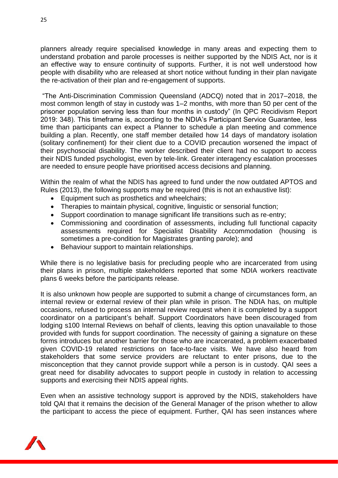planners already require specialised knowledge in many areas and expecting them to understand probation and parole processes is neither supported by the NDIS Act, nor is it an effective way to ensure continuity of supports. Further, it is not well understood how people with disability who are released at short notice without funding in their plan navigate the re-activation of their plan and re-engagement of supports.

"The Anti-Discrimination Commission Queensland (ADCQ) noted that in 2017–2018, the most common length of stay in custody was 1–2 months, with more than 50 per cent of the prisoner population serving less than four months in custody" (In QPC Recidivism Report 2019: 348). This timeframe is, according to the NDIA's Participant Service Guarantee, less time than participants can expect a Planner to schedule a plan meeting and commence building a plan. Recently, one staff member detailed how 14 days of mandatory isolation (solitary confinement) for their client due to a COVID precaution worsened the impact of their psychosocial disability. The worker described their client had no support to access their NDIS funded psychologist, even by tele-link. Greater interagency escalation processes are needed to ensure people have prioritised access decisions and planning.

Within the realm of what the NDIS has agreed to fund under the now outdated APTOS and Rules (2013), the following supports may be required (this is not an exhaustive list):

- Equipment such as prosthetics and wheelchairs;
- Therapies to maintain physical, cognitive, linguistic or sensorial function;
- Support coordination to manage significant life transitions such as re-entry;
- Commissioning and coordination of assessments, including full functional capacity assessments required for Specialist Disability Accommodation (housing is sometimes a pre-condition for Magistrates granting parole); and
- Behaviour support to maintain relationships.

While there is no legislative basis for precluding people who are incarcerated from using their plans in prison, multiple stakeholders reported that some NDIA workers reactivate plans 6 weeks before the participants release.

It is also unknown how people are supported to submit a change of circumstances form, an internal review or external review of their plan while in prison. The NDIA has, on multiple occasions, refused to process an internal review request when it is completed by a support coordinator on a participant's behalf. Support Coordinators have been discouraged from lodging s100 Internal Reviews on behalf of clients, leaving this option unavailable to those provided with funds for support coordination. The necessity of gaining a signature on these forms introduces but another barrier for those who are incarcerated, a problem exacerbated given COVID-19 related restrictions on face-to-face visits. We have also heard from stakeholders that some service providers are reluctant to enter prisons, due to the misconception that they cannot provide support while a person is in custody. QAI sees a great need for disability advocates to support people in custody in relation to accessing supports and exercising their NDIS appeal rights.

Even when an assistive technology support is approved by the NDIS, stakeholders have told QAI that it remains the decision of the General Manager of the prison whether to allow the participant to access the piece of equipment. Further, QAI has seen instances where

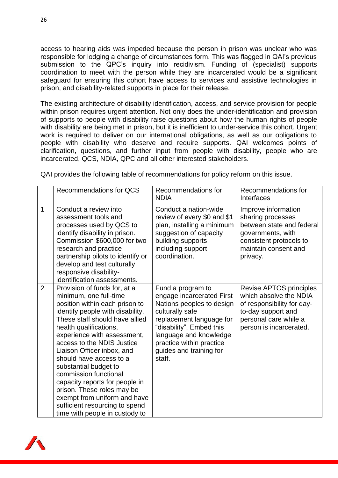access to hearing aids was impeded because the person in prison was unclear who was responsible for lodging a change of circumstances form. This was flagged in QAI's previous submission to the QPC's inquiry into recidivism. Funding of (specialist) supports coordination to meet with the person while they are incarcerated would be a significant safeguard for ensuring this cohort have access to services and assistive technologies in prison, and disability-related supports in place for their release.

The existing architecture of disability identification, access, and service provision for people within prison requires urgent attention. Not only does the under-identification and provision of supports to people with disability raise questions about how the human rights of people with disability are being met in prison, but it is inefficient to under-service this cohort. Urgent work is required to deliver on our international obligations, as well as our obligations to people with disability who deserve and require supports. QAI welcomes points of clarification, questions, and further input from people with disability, people who are incarcerated, QCS, NDIA, QPC and all other interested stakeholders.

QAI provides the following table of recommendations for policy reform on this issue.

|                | <b>Recommendations for QCS</b>                                                                                                                                                                                                                                                                                                                                                                                                                                                                                                       | Recommendations for<br><b>NDIA</b>                                                                                                                                                                                                                | Recommendations for<br>Interfaces                                                                                                                         |
|----------------|--------------------------------------------------------------------------------------------------------------------------------------------------------------------------------------------------------------------------------------------------------------------------------------------------------------------------------------------------------------------------------------------------------------------------------------------------------------------------------------------------------------------------------------|---------------------------------------------------------------------------------------------------------------------------------------------------------------------------------------------------------------------------------------------------|-----------------------------------------------------------------------------------------------------------------------------------------------------------|
| $\mathbf 1$    | Conduct a review into<br>assessment tools and<br>processes used by QCS to<br>identify disability in prison.<br>Commission \$600,000 for two<br>research and practice<br>partnership pilots to identify or<br>develop and test culturally<br>responsive disability-<br>identification assessments.                                                                                                                                                                                                                                    | Conduct a nation-wide<br>review of every \$0 and \$1<br>plan, installing a minimum<br>suggestion of capacity<br>building supports<br>including support<br>coordination.                                                                           | Improve information<br>sharing processes<br>between state and federal<br>governments, with<br>consistent protocols to<br>maintain consent and<br>privacy. |
| $\overline{2}$ | Provision of funds for, at a<br>minimum, one full-time<br>position within each prison to<br>identify people with disability.<br>These staff should have allied<br>health qualifications,<br>experience with assessment,<br>access to the NDIS Justice<br>Liaison Officer inbox, and<br>should have access to a<br>substantial budget to<br>commission functional<br>capacity reports for people in<br>prison. These roles may be<br>exempt from uniform and have<br>sufficient resourcing to spend<br>time with people in custody to | Fund a program to<br>engage incarcerated First<br>Nations peoples to design<br>culturally safe<br>replacement language for<br>"disability". Embed this<br>language and knowledge<br>practice within practice<br>guides and training for<br>staff. | Revise APTOS principles<br>which absolve the NDIA<br>of responsibility for day-<br>to-day support and<br>personal care while a<br>person is incarcerated. |

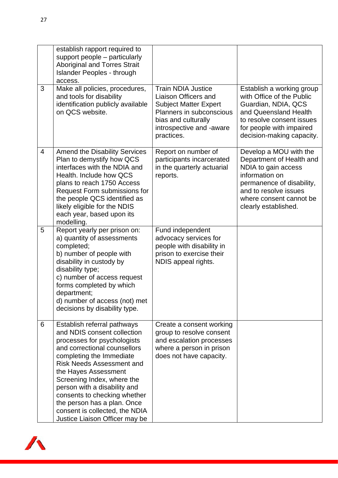|   | establish rapport required to<br>support people – particularly<br><b>Aboriginal and Torres Strait</b><br><b>Islander Peoples - through</b><br>access.                                                                                                                                                                                                                                                              |                                                                                                                                                                                |                                                                                                                                                                                                      |
|---|--------------------------------------------------------------------------------------------------------------------------------------------------------------------------------------------------------------------------------------------------------------------------------------------------------------------------------------------------------------------------------------------------------------------|--------------------------------------------------------------------------------------------------------------------------------------------------------------------------------|------------------------------------------------------------------------------------------------------------------------------------------------------------------------------------------------------|
| 3 | Make all policies, procedures,<br>and tools for disability<br>identification publicly available<br>on QCS website.                                                                                                                                                                                                                                                                                                 | <b>Train NDIA Justice</b><br>Liaison Officers and<br><b>Subject Matter Expert</b><br>Planners in subconscious<br>bias and culturally<br>introspective and -aware<br>practices. | Establish a working group<br>with Office of the Public<br>Guardian, NDIA, QCS<br>and Queensland Health<br>to resolve consent issues<br>for people with impaired<br>decision-making capacity.         |
| 4 | <b>Amend the Disability Services</b><br>Plan to demystify how QCS<br>interfaces with the NDIA and<br>Health. Include how QCS<br>plans to reach 1750 Access<br>Request Form submissions for<br>the people QCS identified as<br>likely eligible for the NDIS<br>each year, based upon its<br>modelling.                                                                                                              | Report on number of<br>participants incarcerated<br>in the quarterly actuarial<br>reports.                                                                                     | Develop a MOU with the<br>Department of Health and<br>NDIA to gain access<br>information on<br>permanence of disability,<br>and to resolve issues<br>where consent cannot be<br>clearly established. |
| 5 | Report yearly per prison on:<br>a) quantity of assessments<br>completed;<br>b) number of people with<br>disability in custody by<br>disability type;<br>c) number of access request<br>forms completed by which<br>department;<br>d) number of access (not) met<br>decisions by disability type.                                                                                                                   | Fund independent<br>advocacy services for<br>people with disability in<br>prison to exercise their<br>NDIS appeal rights.                                                      |                                                                                                                                                                                                      |
| 6 | Establish referral pathways<br>and NDIS consent collection<br>processes for psychologists<br>and correctional counsellors<br>completing the Immediate<br><b>Risk Needs Assessment and</b><br>the Hayes Assessment<br>Screening Index, where the<br>person with a disability and<br>consents to checking whether<br>the person has a plan. Once<br>consent is collected, the NDIA<br>Justice Liaison Officer may be | Create a consent working<br>group to resolve consent<br>and escalation processes<br>where a person in prison<br>does not have capacity.                                        |                                                                                                                                                                                                      |